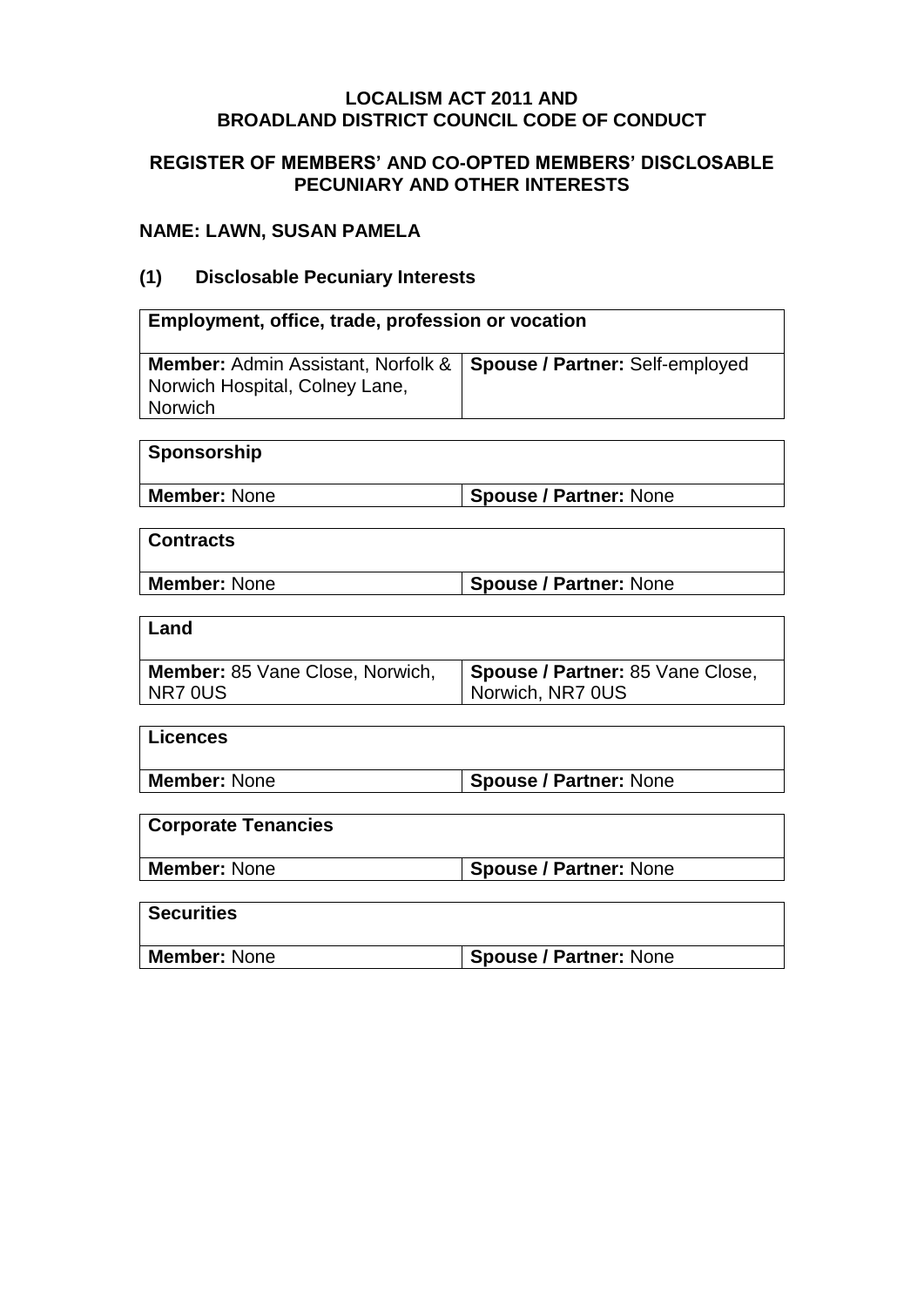#### **LOCALISM ACT 2011 AND BROADLAND DISTRICT COUNCIL CODE OF CONDUCT**

#### **REGISTER OF MEMBERS' AND CO-OPTED MEMBERS' DISCLOSABLE PECUNIARY AND OTHER INTERESTS**

### **NAME: LAWN, SUSAN PAMELA**

## **(1) Disclosable Pecuniary Interests**

| Employment, office, trade, profession or vocation                                                 |                                                      |  |
|---------------------------------------------------------------------------------------------------|------------------------------------------------------|--|
| <b>Member: Admin Assistant, Norfolk &amp;</b><br>Norwich Hospital, Colney Lane,<br><b>Norwich</b> | Spouse / Partner: Self-employed                      |  |
|                                                                                                   |                                                      |  |
| Sponsorship                                                                                       |                                                      |  |
| <b>Member: None</b>                                                                               | <b>Spouse / Partner: None</b>                        |  |
|                                                                                                   |                                                      |  |
| <b>Contracts</b>                                                                                  |                                                      |  |
| <b>Member: None</b>                                                                               | <b>Spouse / Partner: None</b>                        |  |
|                                                                                                   |                                                      |  |
| Land                                                                                              |                                                      |  |
| <b>Member:</b> 85 Vane Close, Norwich,<br>NR7 OUS                                                 | Spouse / Partner: 85 Vane Close,<br>Norwich, NR7 0US |  |
|                                                                                                   |                                                      |  |
| <b>Licences</b>                                                                                   |                                                      |  |
| <b>Member: None</b>                                                                               | <b>Spouse / Partner: None</b>                        |  |
|                                                                                                   |                                                      |  |
| <b>Corporate Tenancies</b>                                                                        |                                                      |  |
| <b>Member: None</b>                                                                               | <b>Spouse / Partner: None</b>                        |  |
|                                                                                                   |                                                      |  |
| <b>Securities</b>                                                                                 |                                                      |  |
| <b>Member: None</b>                                                                               | <b>Spouse / Partner: None</b>                        |  |